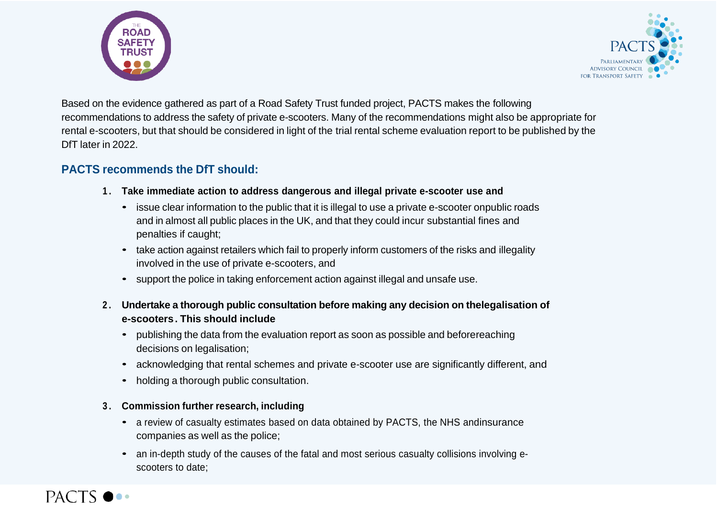



Based on the evidence gathered as part of a Road Safety Trust funded project, PACTS makes the following recommendations to address the safety of private e-scooters. Many of the recommendations might also be appropriate for rental e-scooters, but that should be considered in light of the trial rental scheme evaluation report to be published by the DfT later in 2022.

## **PACTS recommends the DfT should:**

- **1 . Take immediate action to address dangerous and illegal private e-scooter use and**
	- issue clear information to the public that it is illegal to use a private e-scooter onpublic roads and in almost all public places in the UK, and that they could incur substantial fines and penalties if caught;
	- take action against retailers which fail to properly inform customers of the risks and illegality involved in the use of private e-scooters, and
	- support the police in taking enforcement action against illegal and unsafe use.
- **2 . Undertake a thorough public consultation before making any decision on thelegalisation of e-scooters. This should include**
	- publishing the data from the evaluation report as soon as possible and beforereaching decisions on legalisation:
	- acknowledging that rental schemes and private e-scooter use are significantly different, and
	- holding a thorough public consultation.
- **3 . Commission further research, including**
	- a review of casualty estimates based on data obtained by PACTS, the NHS andinsurance companies as well as the police;
	- an in-depth study of the causes of the fatal and most serious casualty collisions involving escooters to date;